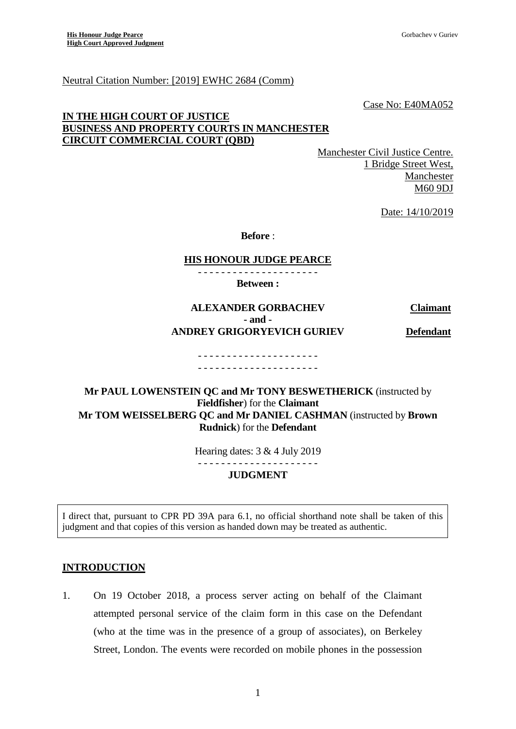#### Neutral Citation Number: [2019] EWHC 2684 (Comm)

Case No: E40MA052

## **IN THE HIGH COURT OF JUSTICE BUSINESS AND PROPERTY COURTS IN MANCHESTER CIRCUIT COMMERCIAL COURT (QBD)**

Manchester Civil Justice Centre. 1 Bridge Street West, Manchester M60 9DJ

Date: 14/10/2019

**Before** :

#### **HIS HONOUR JUDGE PEARCE** - - - - - - - - - - - - - - - - - - - - -

**Between :**

# **ALEXANDER GORBACHEV Claimant - and - ANDREY GRIGORYEVICH GURIEV Defendant**

#### - - - - - - - - - - - - - - - - - - - - - - - - - - - - - - - - - - - - - - - - - -

# **Mr PAUL LOWENSTEIN QC and Mr TONY BESWETHERICK** (instructed by **Fieldfisher**) for the **Claimant Mr TOM WEISSELBERG QC and Mr DANIEL CASHMAN** (instructed by **Brown Rudnick**) for the **Defendant**

Hearing dates: 3 & 4 July 2019

- - - - - - - - - - - - - - - - - - - - -

#### **JUDGMENT**

I direct that, pursuant to CPR PD 39A para 6.1, no official shorthand note shall be taken of this judgment and that copies of this version as handed down may be treated as authentic.

#### **INTRODUCTION**

1. On 19 October 2018, a process server acting on behalf of the Claimant attempted personal service of the claim form in this case on the Defendant (who at the time was in the presence of a group of associates), on Berkeley Street, London. The events were recorded on mobile phones in the possession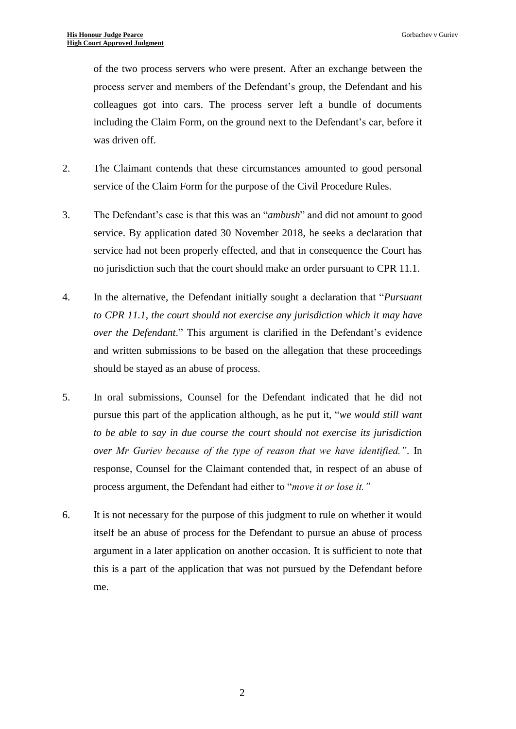of the two process servers who were present. After an exchange between the process server and members of the Defendant's group, the Defendant and his colleagues got into cars. The process server left a bundle of documents including the Claim Form, on the ground next to the Defendant's car, before it was driven off.

- 2. The Claimant contends that these circumstances amounted to good personal service of the Claim Form for the purpose of the Civil Procedure Rules.
- 3. The Defendant's case is that this was an "*ambush*" and did not amount to good service. By application dated 30 November 2018, he seeks a declaration that service had not been properly effected, and that in consequence the Court has no jurisdiction such that the court should make an order pursuant to CPR 11.1.
- 4. In the alternative, the Defendant initially sought a declaration that "*Pursuant to CPR 11.1, the court should not exercise any jurisdiction which it may have over the Defendant*." This argument is clarified in the Defendant's evidence and written submissions to be based on the allegation that these proceedings should be stayed as an abuse of process.
- 5. In oral submissions, Counsel for the Defendant indicated that he did not pursue this part of the application although, as he put it, "*we would still want to be able to say in due course the court should not exercise its jurisdiction over Mr Guriev because of the type of reason that we have identified."*. In response, Counsel for the Claimant contended that, in respect of an abuse of process argument, the Defendant had either to "*move it or lose it."*
- 6. It is not necessary for the purpose of this judgment to rule on whether it would itself be an abuse of process for the Defendant to pursue an abuse of process argument in a later application on another occasion. It is sufficient to note that this is a part of the application that was not pursued by the Defendant before me.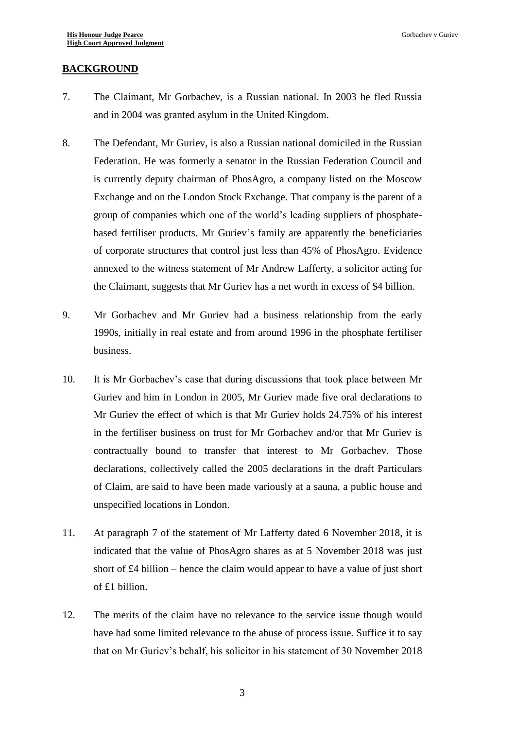### **BACKGROUND**

- 7. The Claimant, Mr Gorbachev, is a Russian national. In 2003 he fled Russia and in 2004 was granted asylum in the United Kingdom.
- 8. The Defendant, Mr Guriev, is also a Russian national domiciled in the Russian Federation. He was formerly a senator in the Russian Federation Council and is currently deputy chairman of PhosAgro, a company listed on the Moscow Exchange and on the London Stock Exchange. That company is the parent of a group of companies which one of the world's leading suppliers of phosphatebased fertiliser products. Mr Guriev's family are apparently the beneficiaries of corporate structures that control just less than 45% of PhosAgro. Evidence annexed to the witness statement of Mr Andrew Lafferty, a solicitor acting for the Claimant, suggests that Mr Guriev has a net worth in excess of \$4 billion.
- 9. Mr Gorbachev and Mr Guriev had a business relationship from the early 1990s, initially in real estate and from around 1996 in the phosphate fertiliser business.
- 10. It is Mr Gorbachev's case that during discussions that took place between Mr Guriev and him in London in 2005, Mr Guriev made five oral declarations to Mr Guriev the effect of which is that Mr Guriev holds 24.75% of his interest in the fertiliser business on trust for Mr Gorbachev and/or that Mr Guriev is contractually bound to transfer that interest to Mr Gorbachev. Those declarations, collectively called the 2005 declarations in the draft Particulars of Claim, are said to have been made variously at a sauna, a public house and unspecified locations in London.
- 11. At paragraph 7 of the statement of Mr Lafferty dated 6 November 2018, it is indicated that the value of PhosAgro shares as at 5 November 2018 was just short of £4 billion – hence the claim would appear to have a value of just short of £1 billion.
- 12. The merits of the claim have no relevance to the service issue though would have had some limited relevance to the abuse of process issue. Suffice it to say that on Mr Guriev's behalf, his solicitor in his statement of 30 November 2018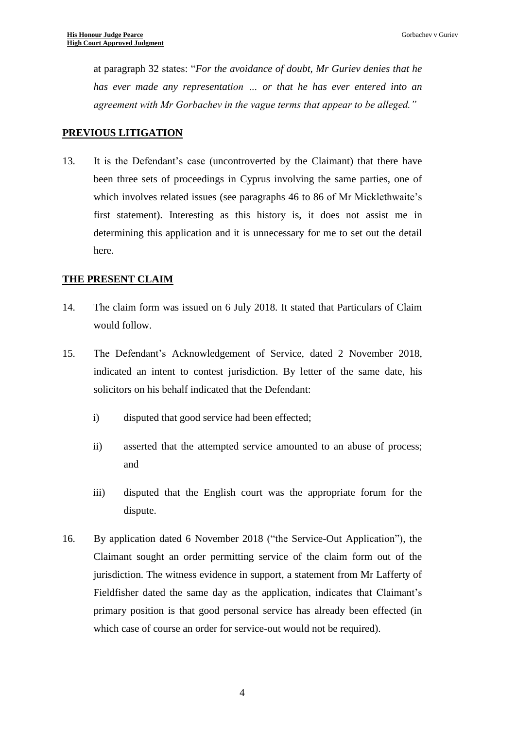at paragraph 32 states: "*For the avoidance of doubt, Mr Guriev denies that he has ever made any representation … or that he has ever entered into an agreement with Mr Gorbachev in the vague terms that appear to be alleged."*

### **PREVIOUS LITIGATION**

13. It is the Defendant's case (uncontroverted by the Claimant) that there have been three sets of proceedings in Cyprus involving the same parties, one of which involves related issues (see paragraphs 46 to 86 of Mr Micklethwaite's first statement). Interesting as this history is, it does not assist me in determining this application and it is unnecessary for me to set out the detail here.

#### **THE PRESENT CLAIM**

- 14. The claim form was issued on 6 July 2018. It stated that Particulars of Claim would follow.
- 15. The Defendant's Acknowledgement of Service, dated 2 November 2018, indicated an intent to contest jurisdiction. By letter of the same date, his solicitors on his behalf indicated that the Defendant:
	- i) disputed that good service had been effected;
	- ii) asserted that the attempted service amounted to an abuse of process; and
	- iii) disputed that the English court was the appropriate forum for the dispute.
- 16. By application dated 6 November 2018 ("the Service-Out Application"), the Claimant sought an order permitting service of the claim form out of the jurisdiction. The witness evidence in support, a statement from Mr Lafferty of Fieldfisher dated the same day as the application, indicates that Claimant's primary position is that good personal service has already been effected (in which case of course an order for service-out would not be required).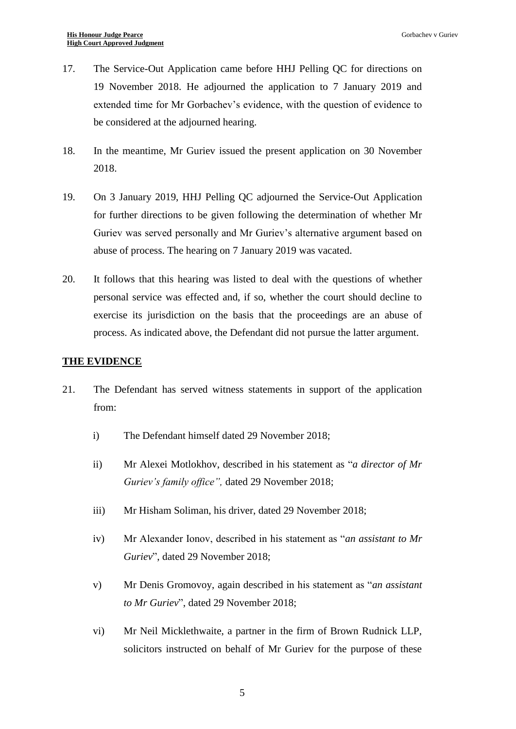- 17. The Service-Out Application came before HHJ Pelling QC for directions on 19 November 2018. He adjourned the application to 7 January 2019 and extended time for Mr Gorbachev's evidence, with the question of evidence to be considered at the adjourned hearing.
- 18. In the meantime, Mr Guriev issued the present application on 30 November 2018.
- 19. On 3 January 2019, HHJ Pelling QC adjourned the Service-Out Application for further directions to be given following the determination of whether Mr Guriev was served personally and Mr Guriev's alternative argument based on abuse of process. The hearing on 7 January 2019 was vacated.
- 20. It follows that this hearing was listed to deal with the questions of whether personal service was effected and, if so, whether the court should decline to exercise its jurisdiction on the basis that the proceedings are an abuse of process. As indicated above, the Defendant did not pursue the latter argument.

### **THE EVIDENCE**

- 21. The Defendant has served witness statements in support of the application from:
	- i) The Defendant himself dated 29 November 2018;
	- ii) Mr Alexei Motlokhov, described in his statement as "*a director of Mr Guriev's family office",* dated 29 November 2018;
	- iii) Mr Hisham Soliman, his driver, dated 29 November 2018;
	- iv) Mr Alexander Ionov, described in his statement as "*an assistant to Mr Guriev*", dated 29 November 2018;
	- v) Mr Denis Gromovoy, again described in his statement as "*an assistant to Mr Guriev*", dated 29 November 2018;
	- vi) Mr Neil Micklethwaite, a partner in the firm of Brown Rudnick LLP, solicitors instructed on behalf of Mr Guriev for the purpose of these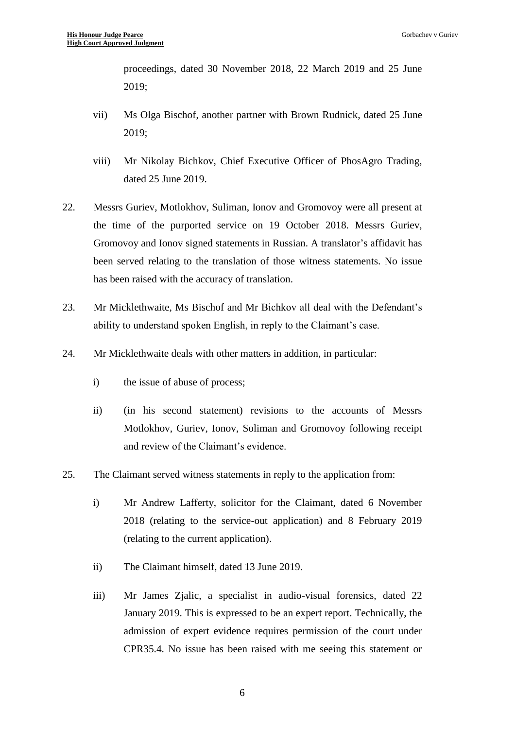proceedings, dated 30 November 2018, 22 March 2019 and 25 June 2019;

- vii) Ms Olga Bischof, another partner with Brown Rudnick, dated 25 June 2019;
- viii) Mr Nikolay Bichkov, Chief Executive Officer of PhosAgro Trading, dated 25 June 2019.
- 22. Messrs Guriev, Motlokhov, Suliman, Ionov and Gromovoy were all present at the time of the purported service on 19 October 2018. Messrs Guriev, Gromovoy and Ionov signed statements in Russian. A translator's affidavit has been served relating to the translation of those witness statements. No issue has been raised with the accuracy of translation.
- 23. Mr Micklethwaite, Ms Bischof and Mr Bichkov all deal with the Defendant's ability to understand spoken English, in reply to the Claimant's case.
- 24. Mr Micklethwaite deals with other matters in addition, in particular:
	- i) the issue of abuse of process;
	- ii) (in his second statement) revisions to the accounts of Messrs Motlokhov, Guriev, Ionov, Soliman and Gromovoy following receipt and review of the Claimant's evidence.
- 25. The Claimant served witness statements in reply to the application from:
	- i) Mr Andrew Lafferty, solicitor for the Claimant, dated 6 November 2018 (relating to the service-out application) and 8 February 2019 (relating to the current application).
	- ii) The Claimant himself, dated 13 June 2019.
	- iii) Mr James Zjalic, a specialist in audio-visual forensics, dated 22 January 2019. This is expressed to be an expert report. Technically, the admission of expert evidence requires permission of the court under CPR35.4. No issue has been raised with me seeing this statement or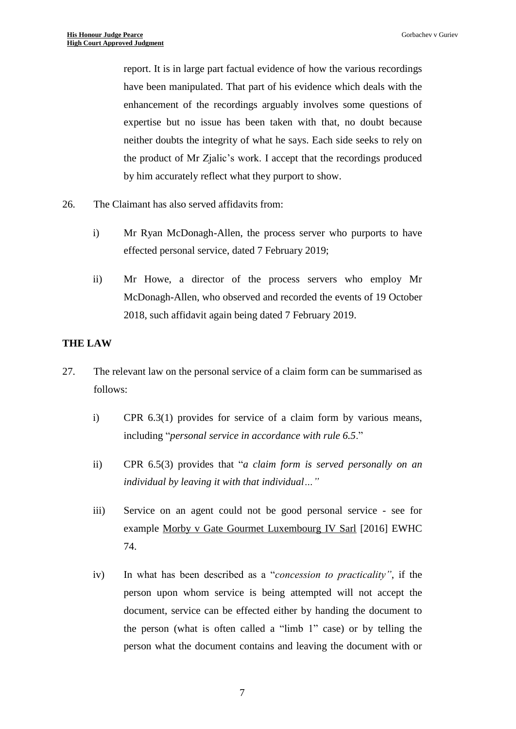report. It is in large part factual evidence of how the various recordings have been manipulated. That part of his evidence which deals with the enhancement of the recordings arguably involves some questions of expertise but no issue has been taken with that, no doubt because neither doubts the integrity of what he says. Each side seeks to rely on the product of Mr Zjalic's work. I accept that the recordings produced by him accurately reflect what they purport to show.

- 26. The Claimant has also served affidavits from:
	- i) Mr Ryan McDonagh-Allen, the process server who purports to have effected personal service, dated 7 February 2019;
	- ii) Mr Howe, a director of the process servers who employ Mr McDonagh-Allen, who observed and recorded the events of 19 October 2018, such affidavit again being dated 7 February 2019.

#### **THE LAW**

- 27. The relevant law on the personal service of a claim form can be summarised as follows:
	- i) CPR 6.3(1) provides for service of a claim form by various means, including "*personal service in accordance with rule 6.5*."
	- ii) CPR 6.5(3) provides that "*a claim form is served personally on an individual by leaving it with that individual…"*
	- iii) Service on an agent could not be good personal service see for example Morby v Gate Gourmet Luxembourg IV Sarl [2016] EWHC 74.
	- iv) In what has been described as a "*concession to practicality"*, if the person upon whom service is being attempted will not accept the document, service can be effected either by handing the document to the person (what is often called a "limb 1" case) or by telling the person what the document contains and leaving the document with or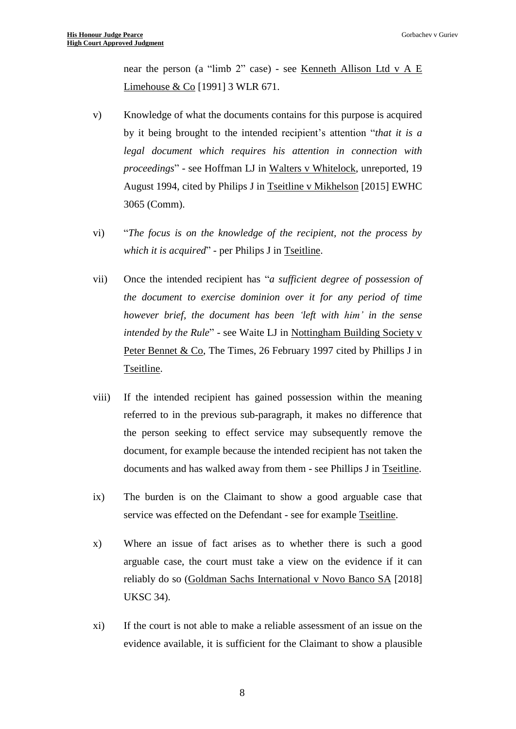near the person (a "limb 2" case) - see Kenneth Allison Ltd v A E Limehouse  $& Co$  [1991] 3 WLR 671.

- v) Knowledge of what the documents contains for this purpose is acquired by it being brought to the intended recipient's attention "*that it is a legal document which requires his attention in connection with proceedings*" - see Hoffman LJ in Walters v Whitelock, unreported, 19 August 1994, cited by Philips J in Tseitline v Mikhelson [2015] EWHC 3065 (Comm).
- vi) "*The focus is on the knowledge of the recipient, not the process by which it is acquired*" - per Philips J in Tseitline.
- vii) Once the intended recipient has "*a sufficient degree of possession of the document to exercise dominion over it for any period of time however brief, the document has been 'left with him' in the sense intended by the Rule*" - see Waite LJ in Nottingham Building Society v Peter Bennet & Co, The Times, 26 February 1997 cited by Phillips J in Tseitline.
- viii) If the intended recipient has gained possession within the meaning referred to in the previous sub-paragraph, it makes no difference that the person seeking to effect service may subsequently remove the document, for example because the intended recipient has not taken the documents and has walked away from them - see Phillips J in Tseitline.
- ix) The burden is on the Claimant to show a good arguable case that service was effected on the Defendant - see for example Tseitline.
- x) Where an issue of fact arises as to whether there is such a good arguable case, the court must take a view on the evidence if it can reliably do so (Goldman Sachs International v Novo Banco SA [2018] UKSC 34).
- xi) If the court is not able to make a reliable assessment of an issue on the evidence available, it is sufficient for the Claimant to show a plausible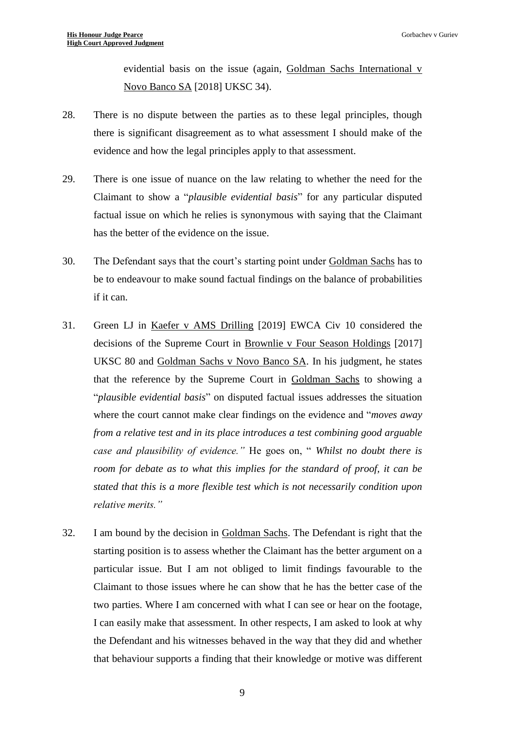evidential basis on the issue (again, Goldman Sachs International v Novo Banco SA [2018] UKSC 34).

- 28. There is no dispute between the parties as to these legal principles, though there is significant disagreement as to what assessment I should make of the evidence and how the legal principles apply to that assessment.
- 29. There is one issue of nuance on the law relating to whether the need for the Claimant to show a "*plausible evidential basis*" for any particular disputed factual issue on which he relies is synonymous with saying that the Claimant has the better of the evidence on the issue.
- 30. The Defendant says that the court's starting point under Goldman Sachs has to be to endeavour to make sound factual findings on the balance of probabilities if it can.
- 31. Green LJ in Kaefer v AMS Drilling [2019] EWCA Civ 10 considered the decisions of the Supreme Court in Brownlie v Four Season Holdings [2017] UKSC 80 and Goldman Sachs v Novo Banco SA. In his judgment, he states that the reference by the Supreme Court in Goldman Sachs to showing a "*plausible evidential basis*" on disputed factual issues addresses the situation where the court cannot make clear findings on the evidence and "*moves away from a relative test and in its place introduces a test combining good arguable case and plausibility of evidence."* He goes on, " *Whilst no doubt there is room for debate as to what this implies for the standard of proof, it can be stated that this is a more flexible test which is not necessarily condition upon relative merits."*
- 32. I am bound by the decision in Goldman Sachs. The Defendant is right that the starting position is to assess whether the Claimant has the better argument on a particular issue. But I am not obliged to limit findings favourable to the Claimant to those issues where he can show that he has the better case of the two parties. Where I am concerned with what I can see or hear on the footage, I can easily make that assessment. In other respects, I am asked to look at why the Defendant and his witnesses behaved in the way that they did and whether that behaviour supports a finding that their knowledge or motive was different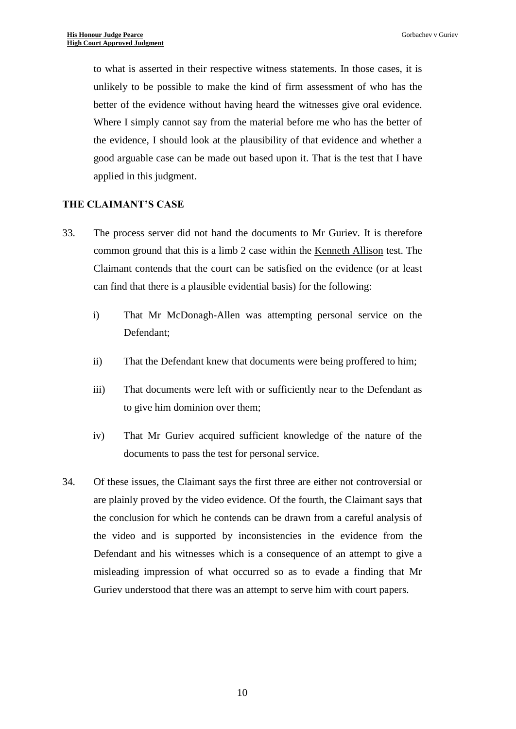to what is asserted in their respective witness statements. In those cases, it is unlikely to be possible to make the kind of firm assessment of who has the better of the evidence without having heard the witnesses give oral evidence. Where I simply cannot say from the material before me who has the better of the evidence, I should look at the plausibility of that evidence and whether a good arguable case can be made out based upon it. That is the test that I have applied in this judgment.

#### **THE CLAIMANT'S CASE**

- 33. The process server did not hand the documents to Mr Guriev. It is therefore common ground that this is a limb 2 case within the Kenneth Allison test. The Claimant contends that the court can be satisfied on the evidence (or at least can find that there is a plausible evidential basis) for the following:
	- i) That Mr McDonagh-Allen was attempting personal service on the Defendant;
	- ii) That the Defendant knew that documents were being proffered to him;
	- iii) That documents were left with or sufficiently near to the Defendant as to give him dominion over them;
	- iv) That Mr Guriev acquired sufficient knowledge of the nature of the documents to pass the test for personal service.
- 34. Of these issues, the Claimant says the first three are either not controversial or are plainly proved by the video evidence. Of the fourth, the Claimant says that the conclusion for which he contends can be drawn from a careful analysis of the video and is supported by inconsistencies in the evidence from the Defendant and his witnesses which is a consequence of an attempt to give a misleading impression of what occurred so as to evade a finding that Mr Guriev understood that there was an attempt to serve him with court papers.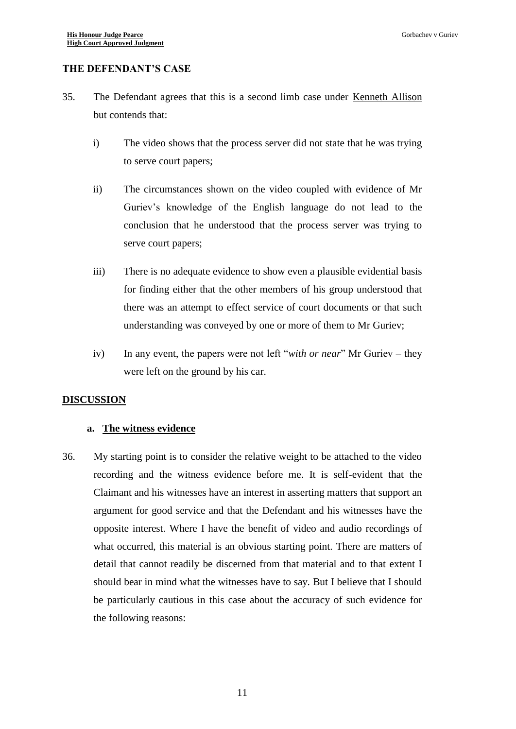### **THE DEFENDANT'S CASE**

- 35. The Defendant agrees that this is a second limb case under Kenneth Allison but contends that:
	- i) The video shows that the process server did not state that he was trying to serve court papers;
	- ii) The circumstances shown on the video coupled with evidence of Mr Guriev's knowledge of the English language do not lead to the conclusion that he understood that the process server was trying to serve court papers;
	- iii) There is no adequate evidence to show even a plausible evidential basis for finding either that the other members of his group understood that there was an attempt to effect service of court documents or that such understanding was conveyed by one or more of them to Mr Guriev;
	- iv) In any event, the papers were not left "*with or near*" Mr Guriev they were left on the ground by his car.

#### **DISCUSSION**

#### **a. The witness evidence**

36. My starting point is to consider the relative weight to be attached to the video recording and the witness evidence before me. It is self-evident that the Claimant and his witnesses have an interest in asserting matters that support an argument for good service and that the Defendant and his witnesses have the opposite interest. Where I have the benefit of video and audio recordings of what occurred, this material is an obvious starting point. There are matters of detail that cannot readily be discerned from that material and to that extent I should bear in mind what the witnesses have to say. But I believe that I should be particularly cautious in this case about the accuracy of such evidence for the following reasons: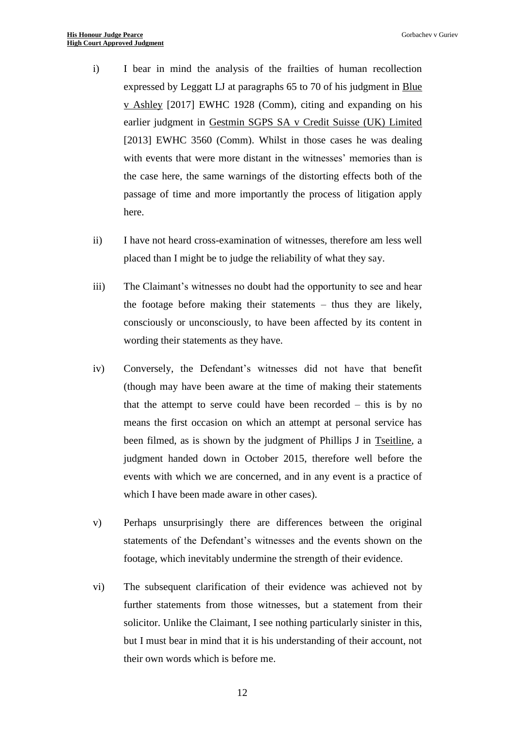- i) I bear in mind the analysis of the frailties of human recollection expressed by Leggatt LJ at paragraphs 65 to 70 of his judgment in Blue v Ashley [2017] EWHC 1928 (Comm), citing and expanding on his earlier judgment in Gestmin SGPS SA v Credit Suisse (UK) Limited [2013] EWHC 3560 (Comm). Whilst in those cases he was dealing with events that were more distant in the witnesses' memories than is the case here, the same warnings of the distorting effects both of the passage of time and more importantly the process of litigation apply here.
- ii) I have not heard cross-examination of witnesses, therefore am less well placed than I might be to judge the reliability of what they say.
- iii) The Claimant's witnesses no doubt had the opportunity to see and hear the footage before making their statements – thus they are likely, consciously or unconsciously, to have been affected by its content in wording their statements as they have.
- iv) Conversely, the Defendant's witnesses did not have that benefit (though may have been aware at the time of making their statements that the attempt to serve could have been recorded – this is by no means the first occasion on which an attempt at personal service has been filmed, as is shown by the judgment of Phillips J in Tseitline, a judgment handed down in October 2015, therefore well before the events with which we are concerned, and in any event is a practice of which I have been made aware in other cases).
- v) Perhaps unsurprisingly there are differences between the original statements of the Defendant's witnesses and the events shown on the footage, which inevitably undermine the strength of their evidence.
- vi) The subsequent clarification of their evidence was achieved not by further statements from those witnesses, but a statement from their solicitor. Unlike the Claimant, I see nothing particularly sinister in this, but I must bear in mind that it is his understanding of their account, not their own words which is before me.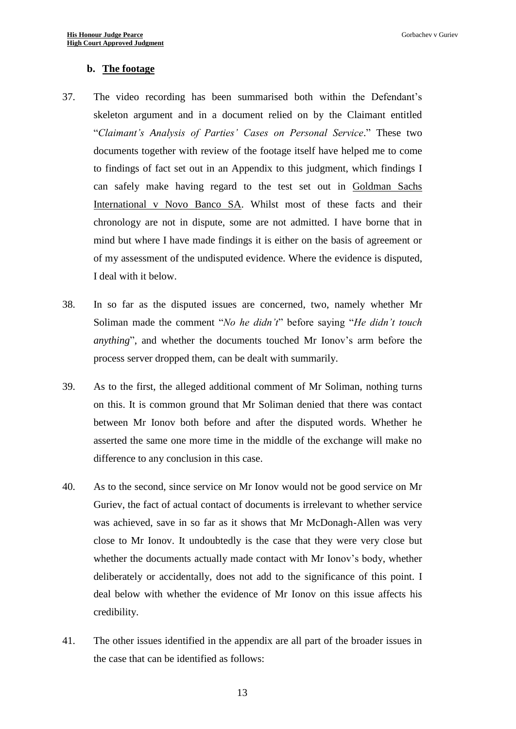#### **b. The footage**

- 37. The video recording has been summarised both within the Defendant's skeleton argument and in a document relied on by the Claimant entitled "*Claimant's Analysis of Parties' Cases on Personal Service*." These two documents together with review of the footage itself have helped me to come to findings of fact set out in an Appendix to this judgment, which findings I can safely make having regard to the test set out in Goldman Sachs International v Novo Banco SA. Whilst most of these facts and their chronology are not in dispute, some are not admitted. I have borne that in mind but where I have made findings it is either on the basis of agreement or of my assessment of the undisputed evidence. Where the evidence is disputed, I deal with it below.
- 38. In so far as the disputed issues are concerned, two, namely whether Mr Soliman made the comment "*No he didn't*" before saying "*He didn't touch anything*", and whether the documents touched Mr Ionov's arm before the process server dropped them, can be dealt with summarily.
- 39. As to the first, the alleged additional comment of Mr Soliman, nothing turns on this. It is common ground that Mr Soliman denied that there was contact between Mr Ionov both before and after the disputed words. Whether he asserted the same one more time in the middle of the exchange will make no difference to any conclusion in this case.
- 40. As to the second, since service on Mr Ionov would not be good service on Mr Guriev, the fact of actual contact of documents is irrelevant to whether service was achieved, save in so far as it shows that Mr McDonagh-Allen was very close to Mr Ionov. It undoubtedly is the case that they were very close but whether the documents actually made contact with Mr Ionov's body, whether deliberately or accidentally, does not add to the significance of this point. I deal below with whether the evidence of Mr Ionov on this issue affects his credibility.
- 41. The other issues identified in the appendix are all part of the broader issues in the case that can be identified as follows: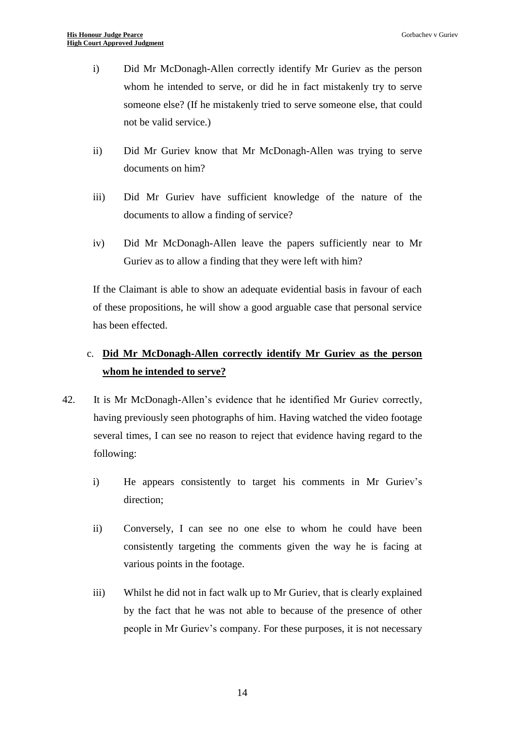- i) Did Mr McDonagh-Allen correctly identify Mr Guriev as the person whom he intended to serve, or did he in fact mistakenly try to serve someone else? (If he mistakenly tried to serve someone else, that could not be valid service.)
- ii) Did Mr Guriev know that Mr McDonagh-Allen was trying to serve documents on him?
- iii) Did Mr Guriev have sufficient knowledge of the nature of the documents to allow a finding of service?
- iv) Did Mr McDonagh-Allen leave the papers sufficiently near to Mr Guriev as to allow a finding that they were left with him?

If the Claimant is able to show an adequate evidential basis in favour of each of these propositions, he will show a good arguable case that personal service has been effected.

# c. **Did Mr McDonagh-Allen correctly identify Mr Guriev as the person whom he intended to serve?**

- 42. It is Mr McDonagh-Allen's evidence that he identified Mr Guriev correctly, having previously seen photographs of him. Having watched the video footage several times, I can see no reason to reject that evidence having regard to the following:
	- i) He appears consistently to target his comments in Mr Guriev's direction;
	- ii) Conversely, I can see no one else to whom he could have been consistently targeting the comments given the way he is facing at various points in the footage.
	- iii) Whilst he did not in fact walk up to Mr Guriev, that is clearly explained by the fact that he was not able to because of the presence of other people in Mr Guriev's company. For these purposes, it is not necessary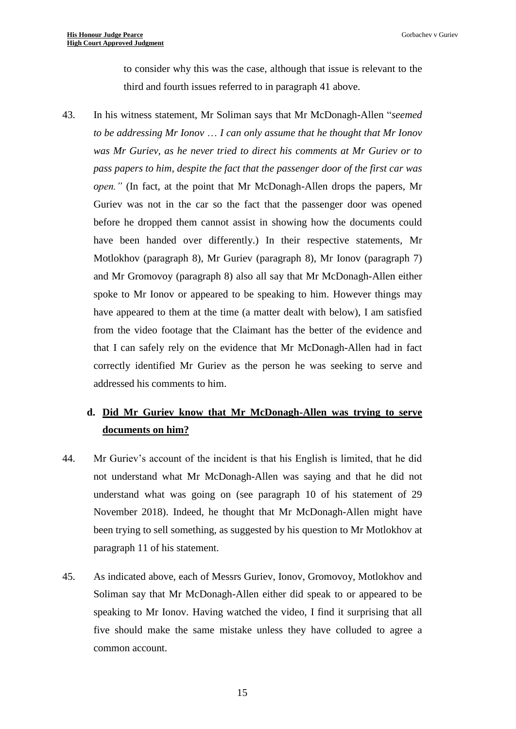to consider why this was the case, although that issue is relevant to the third and fourth issues referred to in paragraph 41 above.

43. In his witness statement, Mr Soliman says that Mr McDonagh-Allen "*seemed to be addressing Mr Ionov* … *I can only assume that he thought that Mr Ionov was Mr Guriev, as he never tried to direct his comments at Mr Guriev or to pass papers to him, despite the fact that the passenger door of the first car was open."* (In fact, at the point that Mr McDonagh-Allen drops the papers, Mr Guriev was not in the car so the fact that the passenger door was opened before he dropped them cannot assist in showing how the documents could have been handed over differently.) In their respective statements, Mr Motlokhov (paragraph 8), Mr Guriev (paragraph 8), Mr Ionov (paragraph 7) and Mr Gromovoy (paragraph 8) also all say that Mr McDonagh-Allen either spoke to Mr Ionov or appeared to be speaking to him. However things may have appeared to them at the time (a matter dealt with below), I am satisfied from the video footage that the Claimant has the better of the evidence and that I can safely rely on the evidence that Mr McDonagh-Allen had in fact correctly identified Mr Guriev as the person he was seeking to serve and addressed his comments to him.

# **d. Did Mr Guriev know that Mr McDonagh-Allen was trying to serve documents on him?**

- 44. Mr Guriev's account of the incident is that his English is limited, that he did not understand what Mr McDonagh-Allen was saying and that he did not understand what was going on (see paragraph 10 of his statement of 29 November 2018). Indeed, he thought that Mr McDonagh-Allen might have been trying to sell something, as suggested by his question to Mr Motlokhov at paragraph 11 of his statement.
- <span id="page-14-0"></span>45. As indicated above, each of Messrs Guriev, Ionov, Gromovoy, Motlokhov and Soliman say that Mr McDonagh-Allen either did speak to or appeared to be speaking to Mr Ionov. Having watched the video, I find it surprising that all five should make the same mistake unless they have colluded to agree a common account.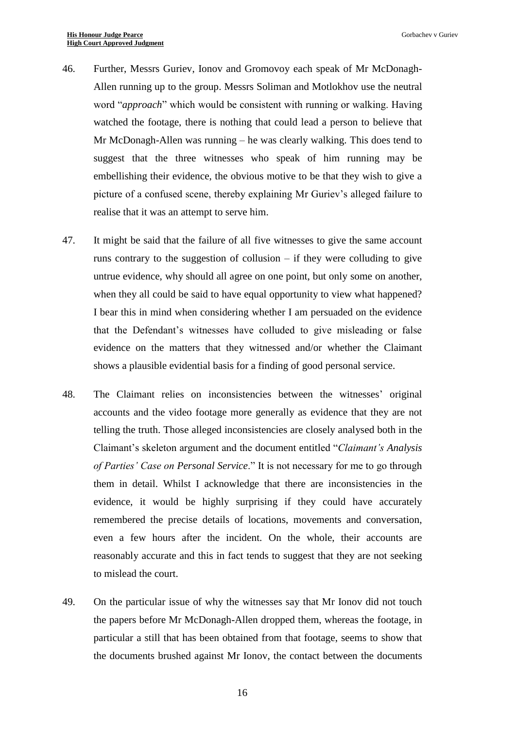- 46. Further, Messrs Guriev, Ionov and Gromovoy each speak of Mr McDonagh-Allen running up to the group. Messrs Soliman and Motlokhov use the neutral word "*approach*" which would be consistent with running or walking. Having watched the footage, there is nothing that could lead a person to believe that Mr McDonagh-Allen was running – he was clearly walking. This does tend to suggest that the three witnesses who speak of him running may be embellishing their evidence, the obvious motive to be that they wish to give a picture of a confused scene, thereby explaining Mr Guriev's alleged failure to realise that it was an attempt to serve him.
- 47. It might be said that the failure of all five witnesses to give the same account runs contrary to the suggestion of collusion – if they were colluding to give untrue evidence, why should all agree on one point, but only some on another, when they all could be said to have equal opportunity to view what happened? I bear this in mind when considering whether I am persuaded on the evidence that the Defendant's witnesses have colluded to give misleading or false evidence on the matters that they witnessed and/or whether the Claimant shows a plausible evidential basis for a finding of good personal service.
- 48. The Claimant relies on inconsistencies between the witnesses' original accounts and the video footage more generally as evidence that they are not telling the truth. Those alleged inconsistencies are closely analysed both in the Claimant's skeleton argument and the document entitled "*Claimant's Analysis of Parties' Case on Personal Service*." It is not necessary for me to go through them in detail. Whilst I acknowledge that there are inconsistencies in the evidence, it would be highly surprising if they could have accurately remembered the precise details of locations, movements and conversation, even a few hours after the incident. On the whole, their accounts are reasonably accurate and this in fact tends to suggest that they are not seeking to mislead the court.
- 49. On the particular issue of why the witnesses say that Mr Ionov did not touch the papers before Mr McDonagh-Allen dropped them, whereas the footage, in particular a still that has been obtained from that footage, seems to show that the documents brushed against Mr Ionov, the contact between the documents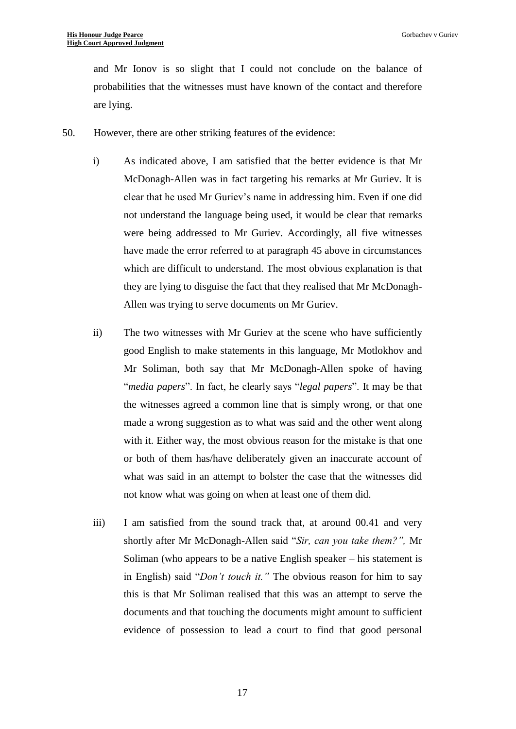and Mr Ionov is so slight that I could not conclude on the balance of probabilities that the witnesses must have known of the contact and therefore are lying.

- 50. However, there are other striking features of the evidence:
	- i) As indicated above, I am satisfied that the better evidence is that Mr McDonagh-Allen was in fact targeting his remarks at Mr Guriev. It is clear that he used Mr Guriev's name in addressing him. Even if one did not understand the language being used, it would be clear that remarks were being addressed to Mr Guriev. Accordingly, all five witnesses have made the error referred to at paragraph [45](#page-14-0) above in circumstances which are difficult to understand. The most obvious explanation is that they are lying to disguise the fact that they realised that Mr McDonagh-Allen was trying to serve documents on Mr Guriev.
	- ii) The two witnesses with Mr Guriev at the scene who have sufficiently good English to make statements in this language, Mr Motlokhov and Mr Soliman, both say that Mr McDonagh-Allen spoke of having "*media papers*". In fact, he clearly says "*legal papers*". It may be that the witnesses agreed a common line that is simply wrong, or that one made a wrong suggestion as to what was said and the other went along with it. Either way, the most obvious reason for the mistake is that one or both of them has/have deliberately given an inaccurate account of what was said in an attempt to bolster the case that the witnesses did not know what was going on when at least one of them did.
	- iii) I am satisfied from the sound track that, at around 00.41 and very shortly after Mr McDonagh-Allen said "*Sir, can you take them?",* Mr Soliman (who appears to be a native English speaker – his statement is in English) said "*Don't touch it."* The obvious reason for him to say this is that Mr Soliman realised that this was an attempt to serve the documents and that touching the documents might amount to sufficient evidence of possession to lead a court to find that good personal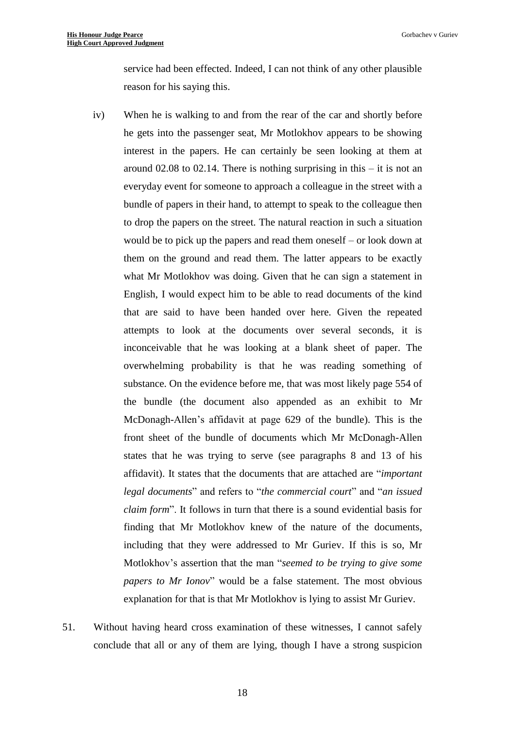service had been effected. Indeed, I can not think of any other plausible reason for his saying this.

- iv) When he is walking to and from the rear of the car and shortly before he gets into the passenger seat, Mr Motlokhov appears to be showing interest in the papers. He can certainly be seen looking at them at around  $02.08$  to  $02.14$ . There is nothing surprising in this – it is not an everyday event for someone to approach a colleague in the street with a bundle of papers in their hand, to attempt to speak to the colleague then to drop the papers on the street. The natural reaction in such a situation would be to pick up the papers and read them oneself – or look down at them on the ground and read them. The latter appears to be exactly what Mr Motlokhov was doing. Given that he can sign a statement in English, I would expect him to be able to read documents of the kind that are said to have been handed over here. Given the repeated attempts to look at the documents over several seconds, it is inconceivable that he was looking at a blank sheet of paper. The overwhelming probability is that he was reading something of substance. On the evidence before me, that was most likely page 554 of the bundle (the document also appended as an exhibit to Mr McDonagh-Allen's affidavit at page 629 of the bundle). This is the front sheet of the bundle of documents which Mr McDonagh-Allen states that he was trying to serve (see paragraphs 8 and 13 of his affidavit). It states that the documents that are attached are "*important legal documents*" and refers to "*the commercial court*" and "*an issued claim form*". It follows in turn that there is a sound evidential basis for finding that Mr Motlokhov knew of the nature of the documents, including that they were addressed to Mr Guriev. If this is so, Mr Motlokhov's assertion that the man "*seemed to be trying to give some papers to Mr Ionov*" would be a false statement. The most obvious explanation for that is that Mr Motlokhov is lying to assist Mr Guriev.
- 51. Without having heard cross examination of these witnesses, I cannot safely conclude that all or any of them are lying, though I have a strong suspicion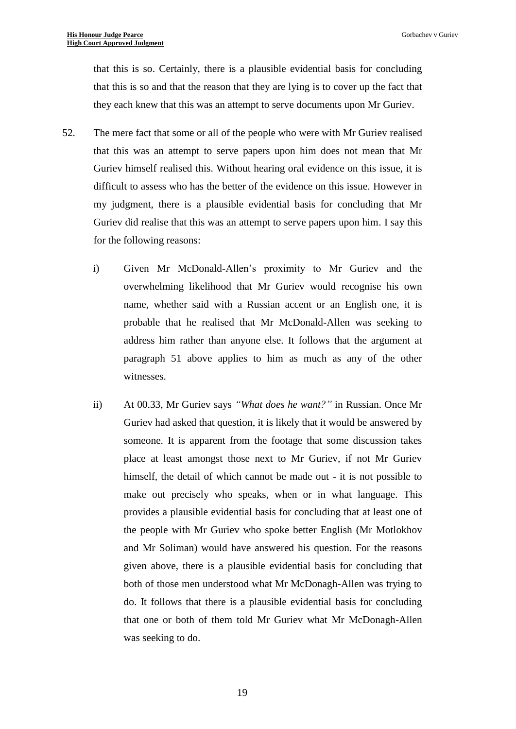that this is so. Certainly, there is a plausible evidential basis for concluding that this is so and that the reason that they are lying is to cover up the fact that they each knew that this was an attempt to serve documents upon Mr Guriev.

- 52. The mere fact that some or all of the people who were with Mr Guriev realised that this was an attempt to serve papers upon him does not mean that Mr Guriev himself realised this. Without hearing oral evidence on this issue, it is difficult to assess who has the better of the evidence on this issue. However in my judgment, there is a plausible evidential basis for concluding that Mr Guriev did realise that this was an attempt to serve papers upon him. I say this for the following reasons:
	- i) Given Mr McDonald-Allen's proximity to Mr Guriev and the overwhelming likelihood that Mr Guriev would recognise his own name, whether said with a Russian accent or an English one, it is probable that he realised that Mr McDonald-Allen was seeking to address him rather than anyone else. It follows that the argument at paragraph 51 above applies to him as much as any of the other witnesses.
	- ii) At 00.33, Mr Guriev says *"What does he want?"* in Russian. Once Mr Guriev had asked that question, it is likely that it would be answered by someone. It is apparent from the footage that some discussion takes place at least amongst those next to Mr Guriev, if not Mr Guriev himself, the detail of which cannot be made out - it is not possible to make out precisely who speaks, when or in what language. This provides a plausible evidential basis for concluding that at least one of the people with Mr Guriev who spoke better English (Mr Motlokhov and Mr Soliman) would have answered his question. For the reasons given above, there is a plausible evidential basis for concluding that both of those men understood what Mr McDonagh-Allen was trying to do. It follows that there is a plausible evidential basis for concluding that one or both of them told Mr Guriev what Mr McDonagh-Allen was seeking to do.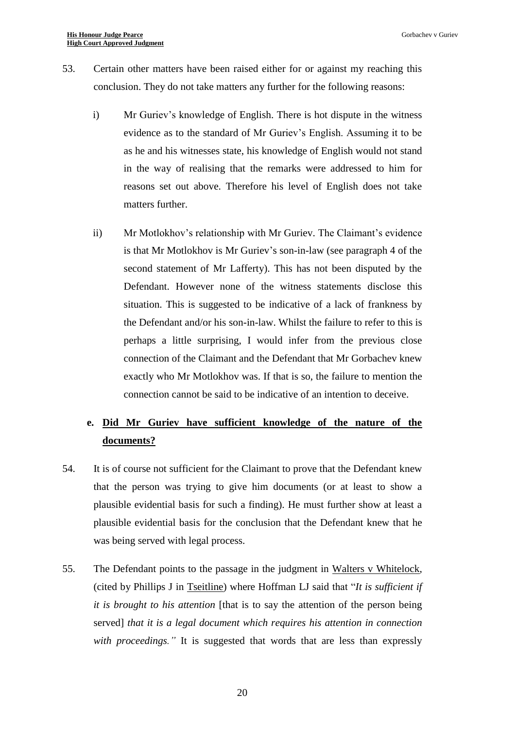- 53. Certain other matters have been raised either for or against my reaching this conclusion. They do not take matters any further for the following reasons:
	- i) Mr Guriev's knowledge of English. There is hot dispute in the witness evidence as to the standard of Mr Guriev's English. Assuming it to be as he and his witnesses state, his knowledge of English would not stand in the way of realising that the remarks were addressed to him for reasons set out above. Therefore his level of English does not take matters further.
	- ii) Mr Motlokhov's relationship with Mr Guriev. The Claimant's evidence is that Mr Motlokhov is Mr Guriev's son-in-law (see paragraph 4 of the second statement of Mr Lafferty). This has not been disputed by the Defendant. However none of the witness statements disclose this situation. This is suggested to be indicative of a lack of frankness by the Defendant and/or his son-in-law. Whilst the failure to refer to this is perhaps a little surprising, I would infer from the previous close connection of the Claimant and the Defendant that Mr Gorbachev knew exactly who Mr Motlokhov was. If that is so, the failure to mention the connection cannot be said to be indicative of an intention to deceive.

# **e. Did Mr Guriev have sufficient knowledge of the nature of the documents?**

- 54. It is of course not sufficient for the Claimant to prove that the Defendant knew that the person was trying to give him documents (or at least to show a plausible evidential basis for such a finding). He must further show at least a plausible evidential basis for the conclusion that the Defendant knew that he was being served with legal process.
- 55. The Defendant points to the passage in the judgment in Walters v Whitelock, (cited by Phillips J in Tseitline) where Hoffman LJ said that "*It is sufficient if it is brought to his attention* [that is to say the attention of the person being served] *that it is a legal document which requires his attention in connection with proceedings."* It is suggested that words that are less than expressly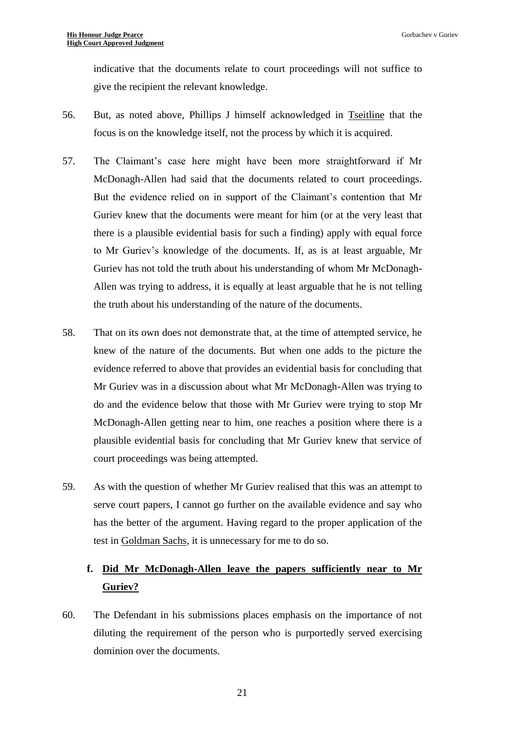indicative that the documents relate to court proceedings will not suffice to give the recipient the relevant knowledge.

- 56. But, as noted above, Phillips J himself acknowledged in Tseitline that the focus is on the knowledge itself, not the process by which it is acquired.
- 57. The Claimant's case here might have been more straightforward if Mr McDonagh-Allen had said that the documents related to court proceedings. But the evidence relied on in support of the Claimant's contention that Mr Guriev knew that the documents were meant for him (or at the very least that there is a plausible evidential basis for such a finding) apply with equal force to Mr Guriev's knowledge of the documents. If, as is at least arguable, Mr Guriev has not told the truth about his understanding of whom Mr McDonagh-Allen was trying to address, it is equally at least arguable that he is not telling the truth about his understanding of the nature of the documents.
- 58. That on its own does not demonstrate that, at the time of attempted service, he knew of the nature of the documents. But when one adds to the picture the evidence referred to above that provides an evidential basis for concluding that Mr Guriev was in a discussion about what Mr McDonagh-Allen was trying to do and the evidence below that those with Mr Guriev were trying to stop Mr McDonagh-Allen getting near to him, one reaches a position where there is a plausible evidential basis for concluding that Mr Guriev knew that service of court proceedings was being attempted.
- 59. As with the question of whether Mr Guriev realised that this was an attempt to serve court papers, I cannot go further on the available evidence and say who has the better of the argument. Having regard to the proper application of the test in Goldman Sachs, it is unnecessary for me to do so.

# **f. Did Mr McDonagh-Allen leave the papers sufficiently near to Mr Guriev?**

60. The Defendant in his submissions places emphasis on the importance of not diluting the requirement of the person who is purportedly served exercising dominion over the documents.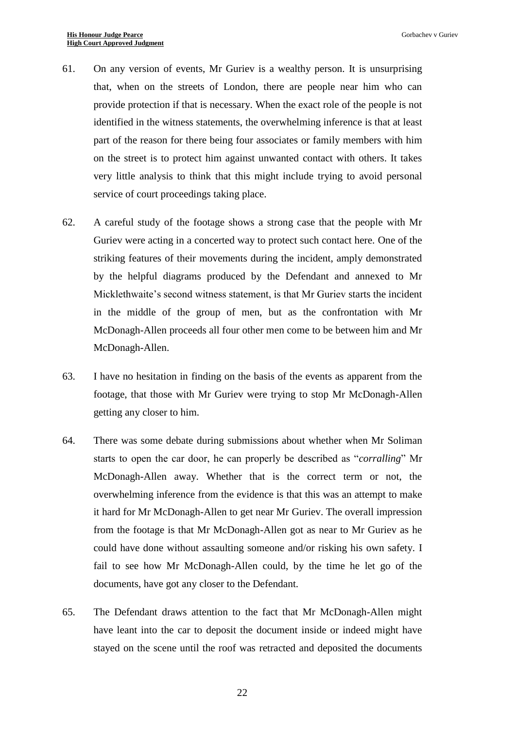- 61. On any version of events, Mr Guriev is a wealthy person. It is unsurprising that, when on the streets of London, there are people near him who can provide protection if that is necessary. When the exact role of the people is not identified in the witness statements, the overwhelming inference is that at least part of the reason for there being four associates or family members with him on the street is to protect him against unwanted contact with others. It takes very little analysis to think that this might include trying to avoid personal service of court proceedings taking place.
- 62. A careful study of the footage shows a strong case that the people with Mr Guriev were acting in a concerted way to protect such contact here. One of the striking features of their movements during the incident, amply demonstrated by the helpful diagrams produced by the Defendant and annexed to Mr Micklethwaite's second witness statement, is that Mr Guriev starts the incident in the middle of the group of men, but as the confrontation with Mr McDonagh-Allen proceeds all four other men come to be between him and Mr McDonagh-Allen.
- 63. I have no hesitation in finding on the basis of the events as apparent from the footage, that those with Mr Guriev were trying to stop Mr McDonagh-Allen getting any closer to him.
- 64. There was some debate during submissions about whether when Mr Soliman starts to open the car door, he can properly be described as "*corralling*" Mr McDonagh-Allen away. Whether that is the correct term or not, the overwhelming inference from the evidence is that this was an attempt to make it hard for Mr McDonagh-Allen to get near Mr Guriev. The overall impression from the footage is that Mr McDonagh-Allen got as near to Mr Guriev as he could have done without assaulting someone and/or risking his own safety. I fail to see how Mr McDonagh-Allen could, by the time he let go of the documents, have got any closer to the Defendant.
- 65. The Defendant draws attention to the fact that Mr McDonagh-Allen might have leant into the car to deposit the document inside or indeed might have stayed on the scene until the roof was retracted and deposited the documents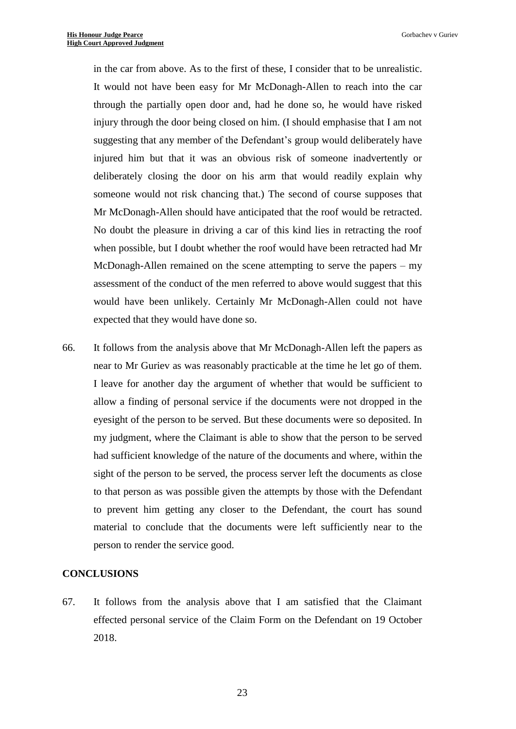in the car from above. As to the first of these, I consider that to be unrealistic. It would not have been easy for Mr McDonagh-Allen to reach into the car through the partially open door and, had he done so, he would have risked injury through the door being closed on him. (I should emphasise that I am not suggesting that any member of the Defendant's group would deliberately have injured him but that it was an obvious risk of someone inadvertently or deliberately closing the door on his arm that would readily explain why someone would not risk chancing that.) The second of course supposes that Mr McDonagh-Allen should have anticipated that the roof would be retracted. No doubt the pleasure in driving a car of this kind lies in retracting the roof when possible, but I doubt whether the roof would have been retracted had Mr McDonagh-Allen remained on the scene attempting to serve the papers – my assessment of the conduct of the men referred to above would suggest that this would have been unlikely. Certainly Mr McDonagh-Allen could not have expected that they would have done so.

66. It follows from the analysis above that Mr McDonagh-Allen left the papers as near to Mr Guriev as was reasonably practicable at the time he let go of them. I leave for another day the argument of whether that would be sufficient to allow a finding of personal service if the documents were not dropped in the eyesight of the person to be served. But these documents were so deposited. In my judgment, where the Claimant is able to show that the person to be served had sufficient knowledge of the nature of the documents and where, within the sight of the person to be served, the process server left the documents as close to that person as was possible given the attempts by those with the Defendant to prevent him getting any closer to the Defendant, the court has sound material to conclude that the documents were left sufficiently near to the person to render the service good.

#### **CONCLUSIONS**

67. It follows from the analysis above that I am satisfied that the Claimant effected personal service of the Claim Form on the Defendant on 19 October 2018.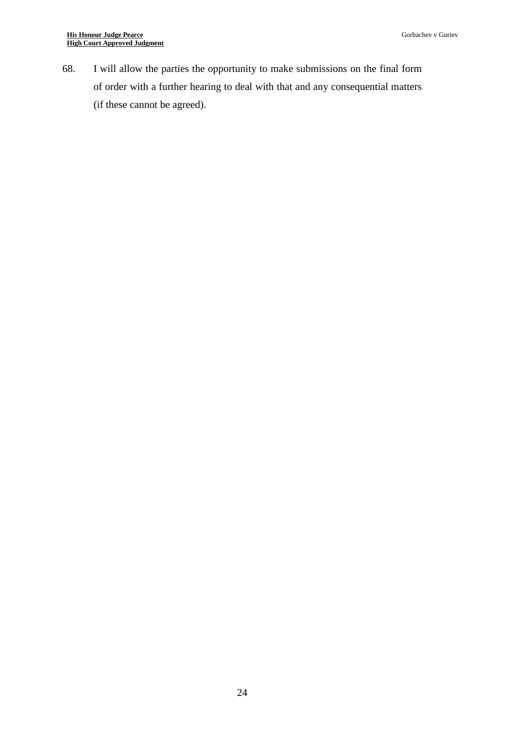68. I will allow the parties the opportunity to make submissions on the final form of order with a further hearing to deal with that and any consequential matters (if these cannot be agreed).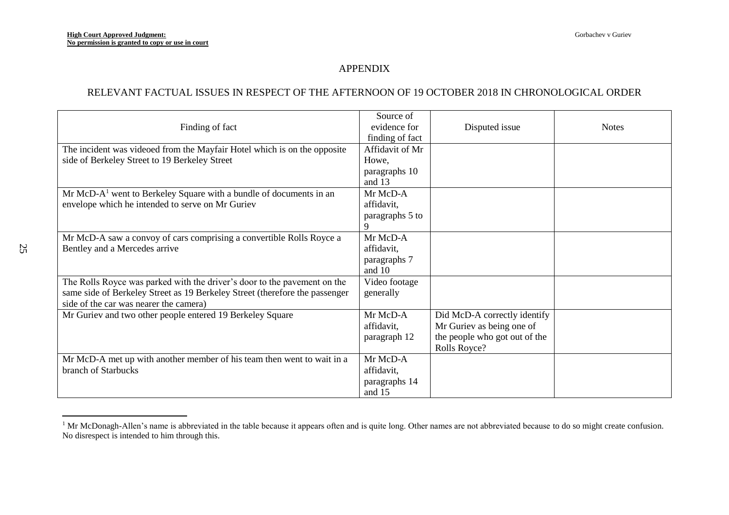# APPENDIX

## RELEVANT FACTUAL ISSUES IN RESPECT OF THE AFTERNOON OF 19 OCTOBER 2018 IN CHRONOLOGICAL ORDER

| Finding of fact                                                             | Source of<br>evidence for  | Disputed issue                | <b>Notes</b> |
|-----------------------------------------------------------------------------|----------------------------|-------------------------------|--------------|
|                                                                             | finding of fact            |                               |              |
| The incident was videoed from the Mayfair Hotel which is on the opposite    | Affidavit of Mr            |                               |              |
| side of Berkeley Street to 19 Berkeley Street                               | Howe,                      |                               |              |
|                                                                             | paragraphs 10              |                               |              |
|                                                                             | and 13                     |                               |              |
| $Mr McD-A1$ went to Berkeley Square with a bundle of documents in an        | Mr McD-A                   |                               |              |
| envelope which he intended to serve on Mr Guriev                            | affidavit,                 |                               |              |
|                                                                             | paragraphs 5 to            |                               |              |
|                                                                             | 9                          |                               |              |
| Mr McD-A saw a convoy of cars comprising a convertible Rolls Royce a        | Mr McD-A                   |                               |              |
| Bentley and a Mercedes arrive                                               | affidavit,                 |                               |              |
|                                                                             | paragraphs 7               |                               |              |
| The Rolls Royce was parked with the driver's door to the pavement on the    | and 10                     |                               |              |
| same side of Berkeley Street as 19 Berkeley Street (therefore the passenger | Video footage<br>generally |                               |              |
| side of the car was nearer the camera)                                      |                            |                               |              |
| Mr Guriev and two other people entered 19 Berkeley Square                   | Mr McD-A                   | Did McD-A correctly identify  |              |
|                                                                             | affidavit,                 | Mr Guriev as being one of     |              |
|                                                                             | paragraph 12               | the people who got out of the |              |
|                                                                             |                            | Rolls Royce?                  |              |
| Mr McD-A met up with another member of his team then went to wait in a      | Mr McD-A                   |                               |              |
| branch of Starbucks                                                         | affidavit,                 |                               |              |
|                                                                             | paragraphs 14              |                               |              |
|                                                                             | and 15                     |                               |              |

<sup>&</sup>lt;sup>1</sup> Mr McDonagh-Allen's name is abbreviated in the table because it appears often and is quite long. Other names are not abbreviated because to do so might create confusion. No disrespect is intended to him through this.

 $\overline{a}$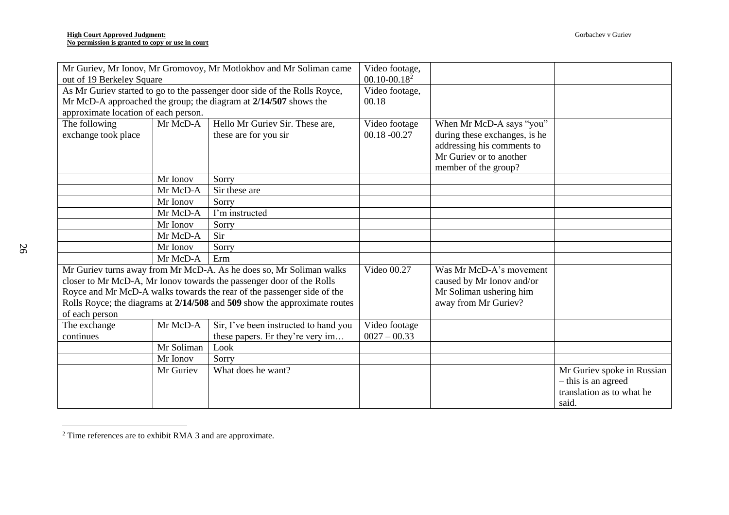| Mr Guriev, Mr Ionov, Mr Gromovoy, Mr Motlokhov and Mr Soliman came        |            | Video footage,                                                   |                           |                               |                                                                                         |
|---------------------------------------------------------------------------|------------|------------------------------------------------------------------|---------------------------|-------------------------------|-----------------------------------------------------------------------------------------|
| out of 19 Berkeley Square                                                 |            | $00.10 - 00.18^2$                                                |                           |                               |                                                                                         |
| As Mr Guriev started to go to the passenger door side of the Rolls Royce, |            | Video footage,                                                   |                           |                               |                                                                                         |
|                                                                           |            | Mr McD-A approached the group; the diagram at 2/14/507 shows the | 00.18                     |                               |                                                                                         |
| approximate location of each person.                                      |            |                                                                  |                           |                               |                                                                                         |
| The following                                                             | Mr McD-A   | Hello Mr Guriev Sir. These are,                                  | Video footage             | When Mr McD-A says "you"      |                                                                                         |
| exchange took place                                                       |            | these are for you sir                                            | $00.18 - 00.27$           | during these exchanges, is he |                                                                                         |
|                                                                           |            |                                                                  |                           | addressing his comments to    |                                                                                         |
|                                                                           |            |                                                                  |                           | Mr Guriev or to another       |                                                                                         |
|                                                                           |            |                                                                  |                           | member of the group?          |                                                                                         |
|                                                                           | Mr Ionov   | Sorry                                                            |                           |                               |                                                                                         |
|                                                                           | Mr McD-A   | Sir these are                                                    |                           |                               |                                                                                         |
|                                                                           | Mr Ionov   | Sorry                                                            |                           |                               |                                                                                         |
|                                                                           | Mr McD-A   | I'm instructed                                                   |                           |                               |                                                                                         |
|                                                                           | Mr Ionov   | Sorry                                                            |                           |                               |                                                                                         |
|                                                                           | Mr McD-A   | Sir                                                              |                           |                               |                                                                                         |
|                                                                           | Mr Ionov   | Sorry                                                            |                           |                               |                                                                                         |
|                                                                           | Mr McD-A   | Erm                                                              |                           |                               |                                                                                         |
| Mr Guriev turns away from Mr McD-A. As he does so, Mr Soliman walks       |            | Video 00.27                                                      | Was Mr McD-A's movement   |                               |                                                                                         |
| closer to Mr McD-A, Mr Ionov towards the passenger door of the Rolls      |            |                                                                  | caused by Mr Ionov and/or |                               |                                                                                         |
| Royce and Mr McD-A walks towards the rear of the passenger side of the    |            |                                                                  | Mr Soliman ushering him   |                               |                                                                                         |
| Rolls Royce; the diagrams at 2/14/508 and 509 show the approximate routes |            |                                                                  | away from Mr Guriev?      |                               |                                                                                         |
| of each person                                                            |            |                                                                  |                           |                               |                                                                                         |
| The exchange                                                              | Mr McD-A   | Sir, I've been instructed to hand you                            | Video footage             |                               |                                                                                         |
| continues                                                                 |            | these papers. Er they're very im                                 | $0027 - 00.33$            |                               |                                                                                         |
|                                                                           | Mr Soliman | Look                                                             |                           |                               |                                                                                         |
|                                                                           | Mr Ionov   | Sorry                                                            |                           |                               |                                                                                         |
|                                                                           | Mr Guriev  | What does he want?                                               |                           |                               | Mr Guriev spoke in Russian<br>- this is an agreed<br>translation as to what he<br>said. |

 $2$  Time references are to exhibit RMA 3 and are approximate.

 $\overline{a}$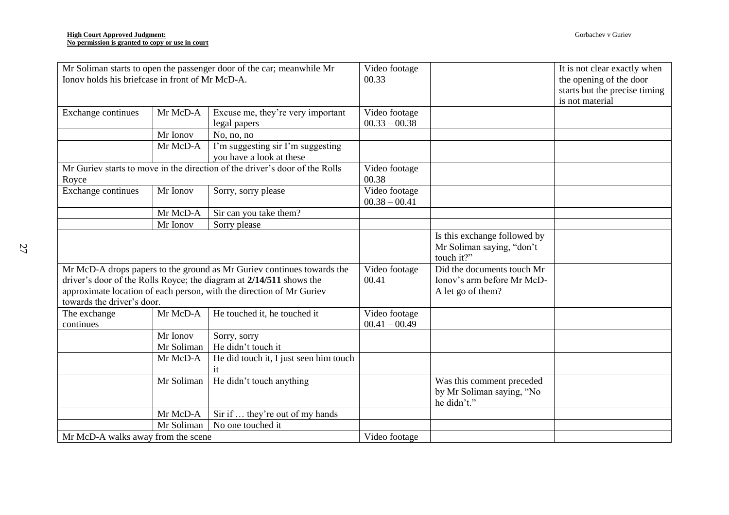| Mr Soliman starts to open the passenger door of the car; meanwhile Mr<br>Ionov holds his briefcase in front of Mr McD-A. |            | Video footage<br>00.33                                                 |                            | It is not clear exactly when<br>the opening of the door |                               |
|--------------------------------------------------------------------------------------------------------------------------|------------|------------------------------------------------------------------------|----------------------------|---------------------------------------------------------|-------------------------------|
|                                                                                                                          |            |                                                                        |                            |                                                         | starts but the precise timing |
|                                                                                                                          |            |                                                                        |                            |                                                         | is not material               |
| Exchange continues                                                                                                       | Mr McD-A   | Excuse me, they're very important                                      | Video footage              |                                                         |                               |
|                                                                                                                          |            | legal papers                                                           | $00.33 - 00.38$            |                                                         |                               |
|                                                                                                                          | Mr Ionov   | No, no, no                                                             |                            |                                                         |                               |
|                                                                                                                          | Mr McD-A   | I'm suggesting sir I'm suggesting                                      |                            |                                                         |                               |
|                                                                                                                          |            | you have a look at these                                               |                            |                                                         |                               |
| Mr Guriev starts to move in the direction of the driver's door of the Rolls                                              |            | Video footage                                                          |                            |                                                         |                               |
| Royce                                                                                                                    |            | 00.38                                                                  |                            |                                                         |                               |
| Exchange continues                                                                                                       | Mr Ionov   | Sorry, sorry please                                                    | Video footage              |                                                         |                               |
|                                                                                                                          |            |                                                                        | $00.38 - 00.41$            |                                                         |                               |
|                                                                                                                          | Mr McD-A   | Sir can you take them?                                                 |                            |                                                         |                               |
|                                                                                                                          | Mr Ionov   | Sorry please                                                           |                            |                                                         |                               |
|                                                                                                                          |            |                                                                        |                            | Is this exchange followed by                            |                               |
|                                                                                                                          |            |                                                                        |                            | Mr Soliman saying, "don't                               |                               |
|                                                                                                                          |            |                                                                        |                            | touch it?"                                              |                               |
|                                                                                                                          |            | Mr McD-A drops papers to the ground as Mr Guriev continues towards the | Video footage              | Did the documents touch Mr                              |                               |
| driver's door of the Rolls Royce; the diagram at 2/14/511 shows the                                                      |            | 00.41                                                                  | Ionov's arm before Mr McD- |                                                         |                               |
| approximate location of each person, with the direction of Mr Guriev                                                     |            |                                                                        | A let go of them?          |                                                         |                               |
| towards the driver's door.                                                                                               |            |                                                                        |                            |                                                         |                               |
| The exchange                                                                                                             | Mr McD-A   | He touched it, he touched it                                           | Video footage              |                                                         |                               |
| continues                                                                                                                |            |                                                                        | $00.41 - 00.49$            |                                                         |                               |
|                                                                                                                          | Mr Ionov   | Sorry, sorry                                                           |                            |                                                         |                               |
|                                                                                                                          | Mr Soliman | He didn't touch it                                                     |                            |                                                         |                               |
|                                                                                                                          | Mr McD-A   | He did touch it, I just seen him touch                                 |                            |                                                         |                               |
|                                                                                                                          |            | it                                                                     |                            |                                                         |                               |
|                                                                                                                          | Mr Soliman | He didn't touch anything                                               |                            | Was this comment preceded                               |                               |
|                                                                                                                          |            |                                                                        |                            | by Mr Soliman saying, "No                               |                               |
|                                                                                                                          |            |                                                                        |                            | he didn't."                                             |                               |
|                                                                                                                          | Mr McD-A   | Sir if  they're out of my hands                                        |                            |                                                         |                               |
|                                                                                                                          | Mr Soliman | No one touched it                                                      |                            |                                                         |                               |
| Mr McD-A walks away from the scene                                                                                       |            | Video footage                                                          |                            |                                                         |                               |